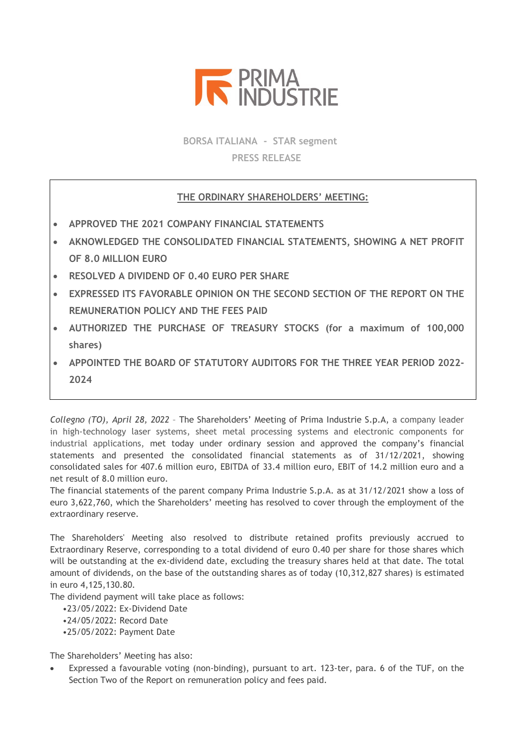

**BORSA ITALIANA - STAR segment PRESS RELEASE**

## **THE ORDINARY SHAREHOLDERS' MEETING:**

- **APPROVED THE 2021 COMPANY FINANCIAL STATEMENTS**
- **AKNOWLEDGED THE CONSOLIDATED FINANCIAL STATEMENTS, SHOWING A NET PROFIT OF 8.0 MILLION EURO**
- **RESOLVED A DIVIDEND OF 0.40 EURO PER SHARE**
- **EXPRESSED ITS FAVORABLE OPINION ON THE SECOND SECTION OF THE REPORT ON THE REMUNERATION POLICY AND THE FEES PAID**
- **AUTHORIZED THE PURCHASE OF TREASURY STOCKS (for a maximum of 100,000 shares)**
- **APPOINTED THE BOARD OF STATUTORY AUDITORS FOR THE THREE YEAR PERIOD 2022- 2024**

*Collegno (TO), April 28, 2022* – The Shareholders' Meeting of Prima Industrie S.p.A, a company leader in high-technology laser systems, sheet metal processing systems and electronic components for industrial applications, met today under ordinary session and approved the company's financial statements and presented the consolidated financial statements as of 31/12/2021, showing consolidated sales for 407.6 million euro, EBITDA of 33.4 million euro, EBIT of 14.2 million euro and a net result of 8.0 million euro.

The financial statements of the parent company Prima Industrie S.p.A. as at 31/12/2021 show a loss of euro 3,622,760, which the Shareholders' meeting has resolved to cover through the employment of the extraordinary reserve.

The Shareholders' Meeting also resolved to distribute retained profits previously accrued to Extraordinary Reserve, corresponding to a total dividend of euro 0.40 per share for those shares which will be outstanding at the ex-dividend date, excluding the treasury shares held at that date. The total amount of dividends, on the base of the outstanding shares as of today (10,312,827 shares) is estimated in euro 4,125,130.80.

The dividend payment will take place as follows:

- •23/05/2022: Ex-Dividend Date
- •24/05/2022: Record Date
- •25/05/2022: Payment Date

The Shareholders' Meeting has also:

Expressed a favourable voting (non-binding), pursuant to art. 123-ter, para. 6 of the TUF, on the Section Two of the Report on remuneration policy and fees paid.